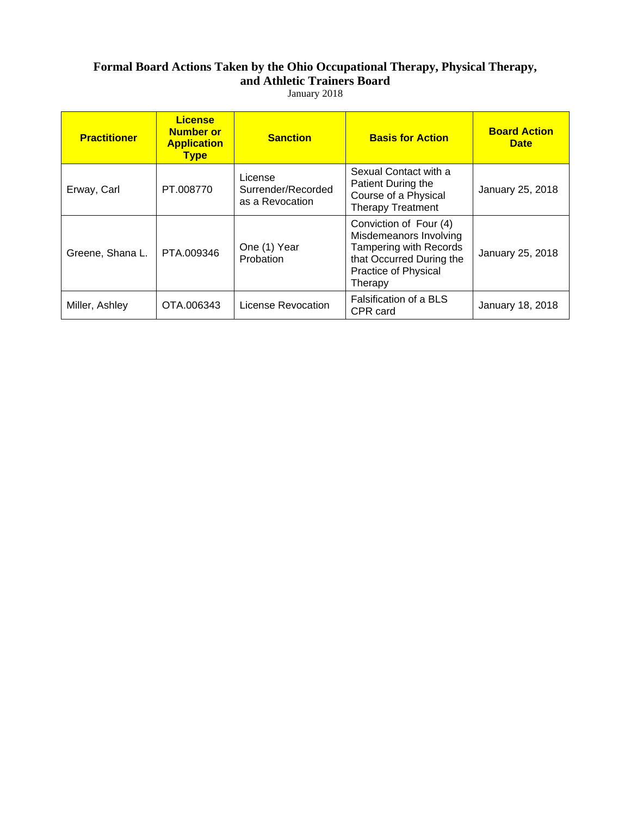## **Formal Board Actions Taken by the Ohio Occupational Therapy, Physical Therapy, and Athletic Trainers Board**

January 2018

| <b>Practitioner</b> | <b>License</b><br><b>Number or</b><br><b>Application</b><br><b>Type</b> | <b>Sanction</b>                                  | <b>Basis for Action</b>                                                                                                                          | <b>Board Action</b><br><b>Date</b> |
|---------------------|-------------------------------------------------------------------------|--------------------------------------------------|--------------------------------------------------------------------------------------------------------------------------------------------------|------------------------------------|
| Erway, Carl         | PT.008770                                                               | License<br>Surrender/Recorded<br>as a Revocation | Sexual Contact with a<br>Patient During the<br>Course of a Physical<br><b>Therapy Treatment</b>                                                  | January 25, 2018                   |
| Greene, Shana L.    | PTA.009346                                                              | One (1) Year<br>Probation                        | Conviction of Four (4)<br>Misdemeanors Involving<br><b>Tampering with Records</b><br>that Occurred During the<br>Practice of Physical<br>Therapy | January 25, 2018                   |
| Miller, Ashley      | OTA.006343                                                              | License Revocation                               | Falsification of a BLS<br>CPR card                                                                                                               | January 18, 2018                   |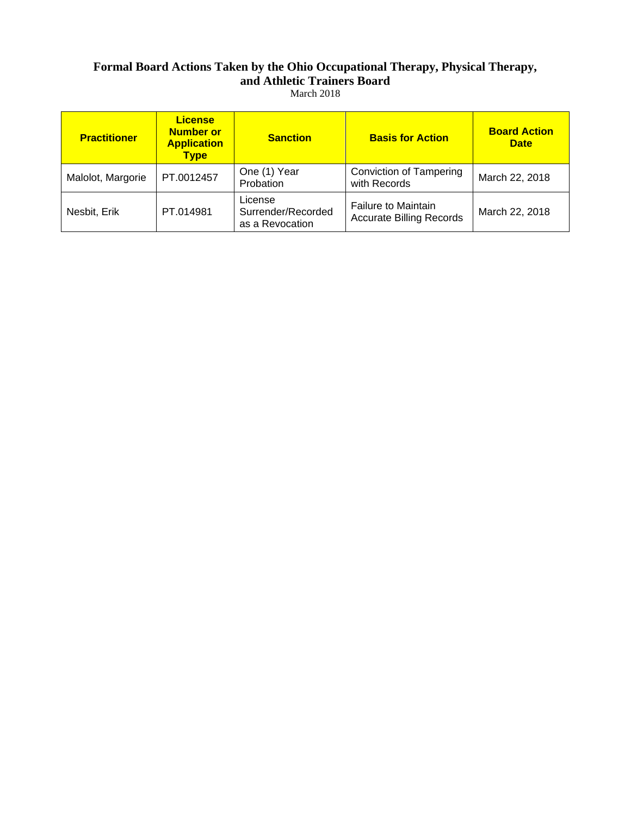### **Formal Board Actions Taken by the Ohio Occupational Therapy, Physical Therapy, and Athletic Trainers Board**  March 2018

| <b>Practitioner</b> | <b>License</b><br><b>Number or</b><br><b>Application</b><br><b>Type</b> | <b>Sanction</b>                                  | <b>Basis for Action</b>                                       | <b>Board Action</b><br><b>Date</b> |
|---------------------|-------------------------------------------------------------------------|--------------------------------------------------|---------------------------------------------------------------|------------------------------------|
| Malolot, Margorie   | PT.0012457                                                              | One (1) Year<br>Probation                        | <b>Conviction of Tampering</b><br>with Records                | March 22, 2018                     |
| Nesbit, Erik        | PT.014981                                                               | License<br>Surrender/Recorded<br>as a Revocation | <b>Failure to Maintain</b><br><b>Accurate Billing Records</b> | March 22, 2018                     |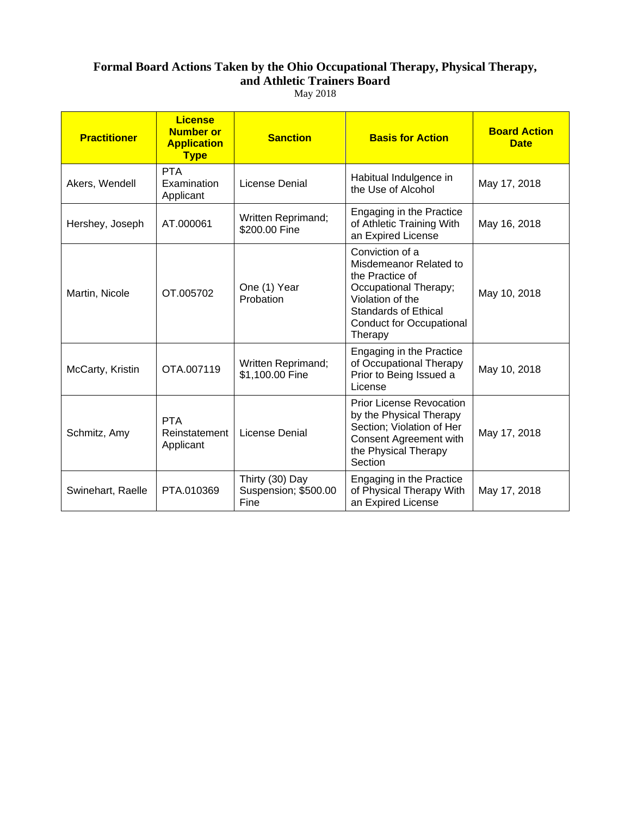### **Formal Board Actions Taken by the Ohio Occupational Therapy, Physical Therapy, and Athletic Trainers Board**  May 2018

| <b>Practitioner</b> | <b>License</b><br><b>Number or</b><br><b>Application</b><br><b>Type</b> | <b>Sanction</b>                                 | <b>Basis for Action</b>                                                                                                                                                                | <b>Board Action</b><br><b>Date</b> |
|---------------------|-------------------------------------------------------------------------|-------------------------------------------------|----------------------------------------------------------------------------------------------------------------------------------------------------------------------------------------|------------------------------------|
| Akers, Wendell      | <b>PTA</b><br>Examination<br>Applicant                                  | License Denial                                  | Habitual Indulgence in<br>the Use of Alcohol                                                                                                                                           | May 17, 2018                       |
| Hershey, Joseph     | AT.000061                                                               | Written Reprimand;<br>\$200.00 Fine             | Engaging in the Practice<br>of Athletic Training With<br>an Expired License                                                                                                            | May 16, 2018                       |
| Martin, Nicole      | OT.005702                                                               | One (1) Year<br>Probation                       | Conviction of a<br>Misdemeanor Related to<br>the Practice of<br>Occupational Therapy;<br>Violation of the<br><b>Standards of Ethical</b><br><b>Conduct for Occupational</b><br>Therapy | May 10, 2018                       |
| McCarty, Kristin    | OTA.007119                                                              | Written Reprimand;<br>\$1,100.00 Fine           | Engaging in the Practice<br>of Occupational Therapy<br>Prior to Being Issued a<br>License                                                                                              | May 10, 2018                       |
| Schmitz, Amy        | <b>PTA</b><br>Reinstatement<br>Applicant                                | License Denial                                  | <b>Prior License Revocation</b><br>by the Physical Therapy<br>Section; Violation of Her<br>Consent Agreement with<br>the Physical Therapy<br>Section                                   | May 17, 2018                       |
| Swinehart, Raelle   | PTA.010369                                                              | Thirty (30) Day<br>Suspension; \$500.00<br>Fine | Engaging in the Practice<br>of Physical Therapy With<br>an Expired License                                                                                                             | May 17, 2018                       |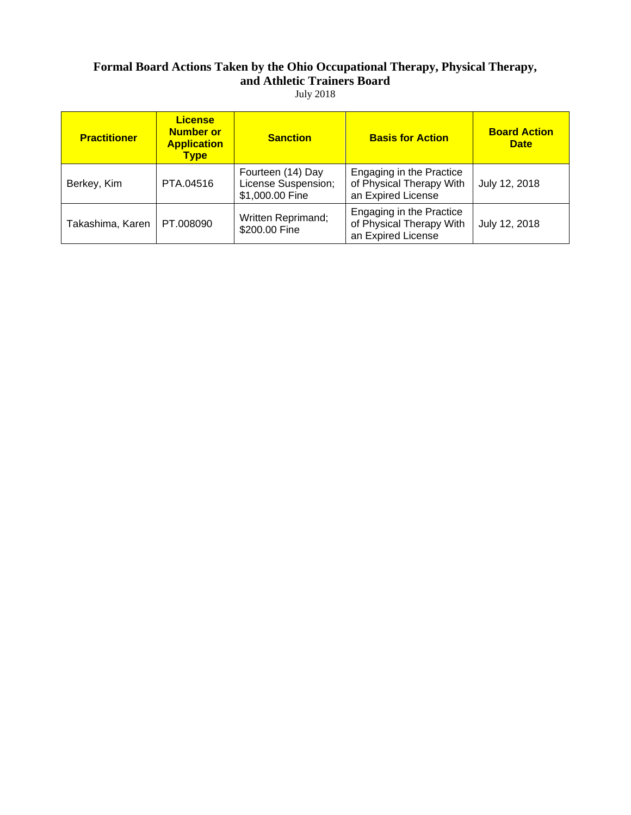# **Formal Board Actions Taken by the Ohio Occupational Therapy, Physical Therapy, and Athletic Trainers Board**

July 2018

| <b>Practitioner</b> | <b>License</b><br><b>Number or</b><br><b>Application</b><br><b>Type</b> | <b>Sanction</b>                                             | <b>Basis for Action</b>                                                    | <b>Board Action</b><br><b>Date</b> |
|---------------------|-------------------------------------------------------------------------|-------------------------------------------------------------|----------------------------------------------------------------------------|------------------------------------|
| Berkey, Kim         | PTA.04516                                                               | Fourteen (14) Day<br>License Suspension;<br>\$1,000.00 Fine | Engaging in the Practice<br>of Physical Therapy With<br>an Expired License | July 12, 2018                      |
| Takashima, Karen    | PT.008090                                                               | <b>Written Reprimand;</b><br>\$200.00 Fine                  | Engaging in the Practice<br>of Physical Therapy With<br>an Expired License | July 12, 2018                      |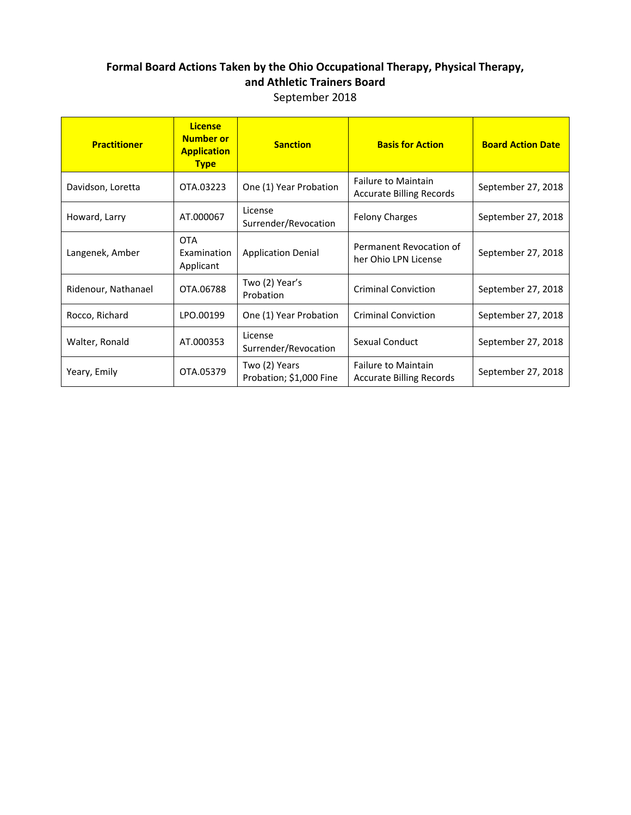### **Formal Board Actions Taken by the Ohio Occupational Therapy, Physical Therapy, and Athletic Trainers Board** September 2018

| <b>Practitioner</b> | <b>License</b><br><b>Number or</b><br><b>Application</b><br><b>Type</b> | <b>Sanction</b>                          | <b>Basis for Action</b>                                       | <b>Board Action Date</b> |
|---------------------|-------------------------------------------------------------------------|------------------------------------------|---------------------------------------------------------------|--------------------------|
| Davidson, Loretta   | OTA.03223                                                               | One (1) Year Probation                   | <b>Failure to Maintain</b><br><b>Accurate Billing Records</b> | September 27, 2018       |
| Howard, Larry       | AT.000067                                                               | License<br>Surrender/Revocation          | <b>Felony Charges</b>                                         | September 27, 2018       |
| Langenek, Amber     | <b>OTA</b><br>Examination<br>Applicant                                  | <b>Application Denial</b>                | Permanent Revocation of<br>her Ohio LPN License               | September 27, 2018       |
| Ridenour, Nathanael | OTA.06788                                                               | Two (2) Year's<br>Probation              | <b>Criminal Conviction</b>                                    | September 27, 2018       |
| Rocco, Richard      | LPO.00199                                                               | One (1) Year Probation                   | <b>Criminal Conviction</b>                                    | September 27, 2018       |
| Walter, Ronald      | AT.000353                                                               | License<br>Surrender/Revocation          | Sexual Conduct                                                | September 27, 2018       |
| Yeary, Emily        | OTA.05379                                                               | Two (2) Years<br>Probation; \$1,000 Fine | <b>Failure to Maintain</b><br><b>Accurate Billing Records</b> | September 27, 2018       |